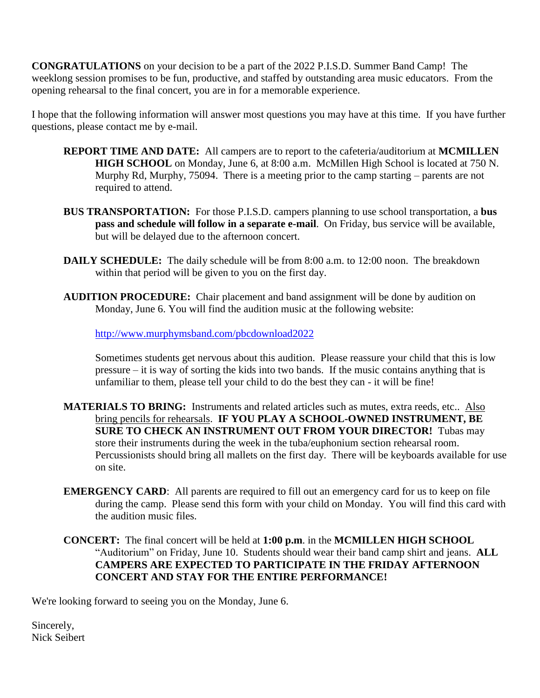**CONGRATULATIONS** on your decision to be a part of the 2022 P.I.S.D. Summer Band Camp! The weeklong session promises to be fun, productive, and staffed by outstanding area music educators. From the opening rehearsal to the final concert, you are in for a memorable experience.

I hope that the following information will answer most questions you may have at this time. If you have further questions, please contact me by e-mail.

- **REPORT TIME AND DATE:** All campers are to report to the cafeteria/auditorium at **MCMILLEN HIGH SCHOOL** on Monday, June 6, at 8:00 a.m. McMillen High School is located at 750 N. Murphy Rd, Murphy, 75094. There is a meeting prior to the camp starting – parents are not required to attend.
- **BUS TRANSPORTATION:** For those P.I.S.D. campers planning to use school transportation, a **bus pass and schedule will follow in a separate e-mail**. On Friday, bus service will be available, but will be delayed due to the afternoon concert.
- **DAILY SCHEDULE:** The daily schedule will be from 8:00 a.m. to 12:00 noon. The breakdown within that period will be given to you on the first day.
- **AUDITION PROCEDURE:** Chair placement and band assignment will be done by audition on Monday, June 6. You will find the audition music at the following website:

<http://www.murphymsband.com/pbcdownload2022>

Sometimes students get nervous about this audition. Please reassure your child that this is low pressure – it is way of sorting the kids into two bands. If the music contains anything that is unfamiliar to them, please tell your child to do the best they can - it will be fine!

MATERIALS TO BRING: Instruments and related articles such as mutes, extra reeds, etc.. Also bring pencils for rehearsals. **IF YOU PLAY A SCHOOL-OWNED INSTRUMENT, BE SURE TO CHECK AN INSTRUMENT OUT FROM YOUR DIRECTOR!** Tubas may store their instruments during the week in the tuba/euphonium section rehearsal room. Percussionists should bring all mallets on the first day. There will be keyboards available for use on site.

- **EMERGENCY CARD**: All parents are required to fill out an emergency card for us to keep on file during the camp. Please send this form with your child on Monday. You will find this card with the audition music files.
- **CONCERT:** The final concert will be held at **1:00 p.m**. in the **MCMILLEN HIGH SCHOOL** "Auditorium" on Friday, June 10. Students should wear their band camp shirt and jeans. **ALL CAMPERS ARE EXPECTED TO PARTICIPATE IN THE FRIDAY AFTERNOON CONCERT AND STAY FOR THE ENTIRE PERFORMANCE!**

We're looking forward to seeing you on the Monday, June 6.

Sincerely, Nick Seibert